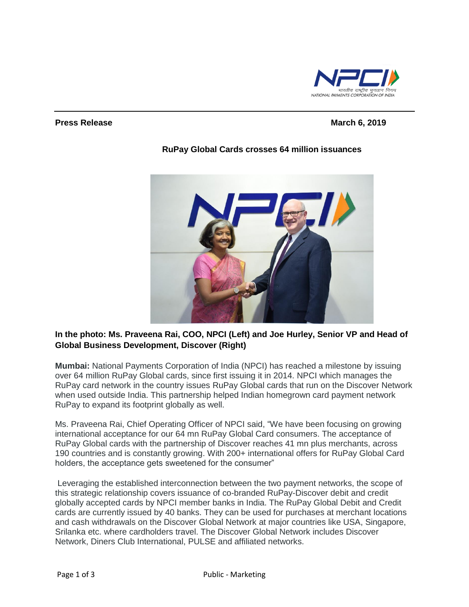

#### **Press Release March 6, 2019**



## **RuPay Global Cards crosses 64 million issuances**

## **In the photo: Ms. Praveena Rai, COO, NPCI (Left) and Joe Hurley, Senior VP and Head of Global Business Development, Discover (Right)**

**Mumbai:** National Payments Corporation of India (NPCI) has reached a milestone by issuing over 64 million [RuPay](http://topic/RuPay) Global cards, since first issuing it in 2014. [NPCI](http://topic/NPCI) which manages the RuPay card network in the country issues RuPay Global cards that run on the Discover Network when used outside India. This partnership helped Indian homegrown card payment network RuPay to expand its footprint globally as well.

Ms. Praveena Rai, Chief Operating Officer of NPCI said, "We have been focusing on growing international acceptance for our 64 mn RuPay Global Card consumers. The acceptance of RuPay Global cards with the partnership of Discover reaches 41 mn plus merchants, across 190 countries and is constantly growing. With 200+ international offers for RuPay Global Card holders, the acceptance gets sweetened for the consumer"

Leveraging the established interconnection between the two payment networks, the scope of this strategic relationship covers issuance of co-branded RuPay-Discover debit and credit globally accepted cards by NPCI member banks in India. The RuPay Global Debit and [Credit](http://topic/Credit-cards)  [cards](http://topic/Credit-cards) are currently issued by 40 banks. They can be used for purchases at merchant locations and cash withdrawals on the Discover Global Network at major countries like USA, Singapore, Srilanka etc. where cardholders travel. The Discover Global Network includes Discover Network, Diners Club International, PULSE and affiliated networks.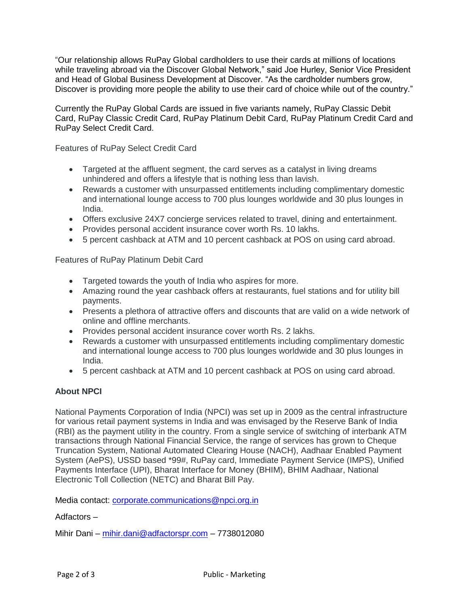"Our relationship allows RuPay Global cardholders to use their cards at millions of locations while traveling abroad via the Discover Global Network," said Joe Hurley, Senior Vice President and Head of Global Business Development at Discover. "As the cardholder numbers grow, Discover is providing more people the ability to use their card of choice while out of the country."

Currently the RuPay Global Cards are issued in five variants namely, RuPay Classic Debit Card, RuPay Classic Credit Card, [RuPay Platinum Debit Card,](http://topic/RuPay-Platinum-Debit-Card) RuPay Platinum Credit Card and RuPay Select Credit Card.

Features of RuPay Select Credit Card

- Targeted at the affluent segment, the card serves as a catalyst in living dreams unhindered and offers a lifestyle that is nothing less than lavish.
- Rewards a customer with unsurpassed entitlements including complimentary domestic and international lounge access to 700 plus lounges worldwide and 30 plus lounges in India.
- Offers exclusive 24X7 concierge services related to travel, dining and entertainment.
- Provides personal accident insurance cover worth Rs. 10 lakhs.
- 5 percent cashback at ATM and 10 percent cashback at POS on using card abroad.

Features of RuPay Platinum Debit Card

- Targeted towards the youth of India who aspires for more.
- Amazing round the year cashback offers at restaurants, fuel stations and for utility bill payments.
- Presents a plethora of attractive offers and discounts that are valid on a wide network of online and offline merchants.
- Provides personal accident insurance cover worth Rs. 2 lakhs.
- Rewards a customer with unsurpassed entitlements including complimentary domestic and international lounge access to 700 plus lounges worldwide and 30 plus lounges in India.
- 5 percent cashback at ATM and 10 percent cashback at POS on using card abroad.

# **About NPCI**

National Payments Corporation of India (NPCI) was set up in 2009 as the central infrastructure for various retail payment systems in India and was envisaged by the Reserve Bank of India (RBI) as the payment utility in the country. From a single service of switching of interbank ATM transactions through National Financial Service, the range of services has grown to Cheque Truncation System, National Automated Clearing House (NACH), Aadhaar Enabled Payment System (AePS), USSD based \*99#, RuPay card, Immediate Payment Service (IMPS), Unified Payments Interface (UPI), Bharat Interface for Money (BHIM), BHIM Aadhaar, National Electronic Toll Collection (NETC) and Bharat Bill Pay.

Media contact: [corporate.communications@npci.org.in](mailto:corporate.communications@npci.org.in)

Adfactors –

Mihir Dani – [mihir.dani@adfactorspr.com](mailto:mihir.dani@adfactorspr.com) – 7738012080